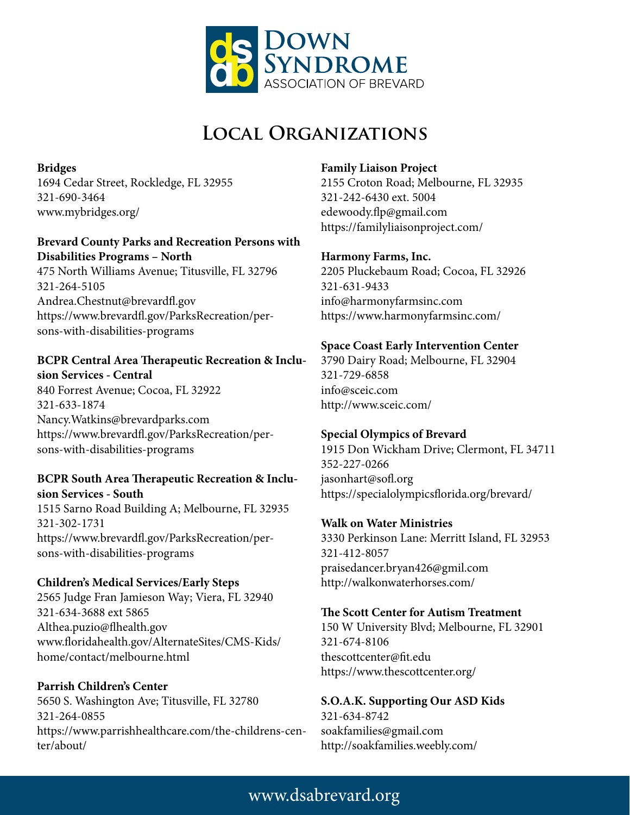

# **Local Organizations**

**Bridges** 1694 Cedar Street, Rockledge, FL 32955 321-690-3464 www.mybridges.org/

#### **Brevard County Parks and Recreation Persons with Disabilities Programs – North**

475 North Williams Avenue; Titusville, FL 32796 321-264-5105 Andrea.Chestnut@brevardfl.gov https://www.brevardfl.gov/ParksRecreation/persons-with-disabilities-programs

#### **BCPR Central Area Therapeutic Recreation & Inclusion Services - Central**

840 Forrest Avenue; Cocoa, FL 32922 321-633-1874 Nancy.Watkins@brevardparks.com https://www.brevardfl.gov/ParksRecreation/persons-with-disabilities-programs

### **BCPR South Area Therapeutic Recreation & Inclusion Services - South**

1515 Sarno Road Building A; Melbourne, FL 32935 321-302-1731 https://www.brevardfl.gov/ParksRecreation/persons-with-disabilities-programs

#### **Children's Medical Services/Early Steps** 2565 Judge Fran Jamieson Way; Viera, FL 32940 321-634-3688 ext 5865 Althea.puzio@flhealth.gov www.floridahealth.gov/AlternateSites/CMS-Kids/ home/contact/melbourne.html

**Parrish Children's Center** 5650 S. Washington Ave; Titusville, FL 32780 321-264-0855 https://www.parrishhealthcare.com/the-childrens-center/about/

### **Family Liaison Project**

2155 Croton Road; Melbourne, FL 32935 321-242-6430 ext. 5004 edewoody.flp@gmail.com https://familyliaisonproject.com/

### **Harmony Farms, Inc.**

2205 Pluckebaum Road; Cocoa, FL 32926 321-631-9433 info@harmonyfarmsinc.com https://www.harmonyfarmsinc.com/

## **Space Coast Early Intervention Center**

3790 Dairy Road; Melbourne, FL 32904 321-729-6858 info@sceic.com http://www.sceic.com/

## **Special Olympics of Brevard**

1915 Don Wickham Drive; Clermont, FL 34711 352-227-0266 jasonhart@sofl.org https://specialolympicsflorida.org/brevard/

## **Walk on Water Ministries**

3330 Perkinson Lane: Merritt Island, FL 32953 321-412-8057 praisedancer.bryan426@gmil.com http://walkonwaterhorses.com/

#### **The Scott Center for Autism Treatment**

150 W University Blvd; Melbourne, FL 32901 321-674-8106 thescottcenter@fit.edu https://www.thescottcenter.org/

**S.O.A.K. Supporting Our ASD Kids** 321-634-8742 soakfamilies@gmail.com http://soakfamilies.weebly.com/

## www.dsabrevard.org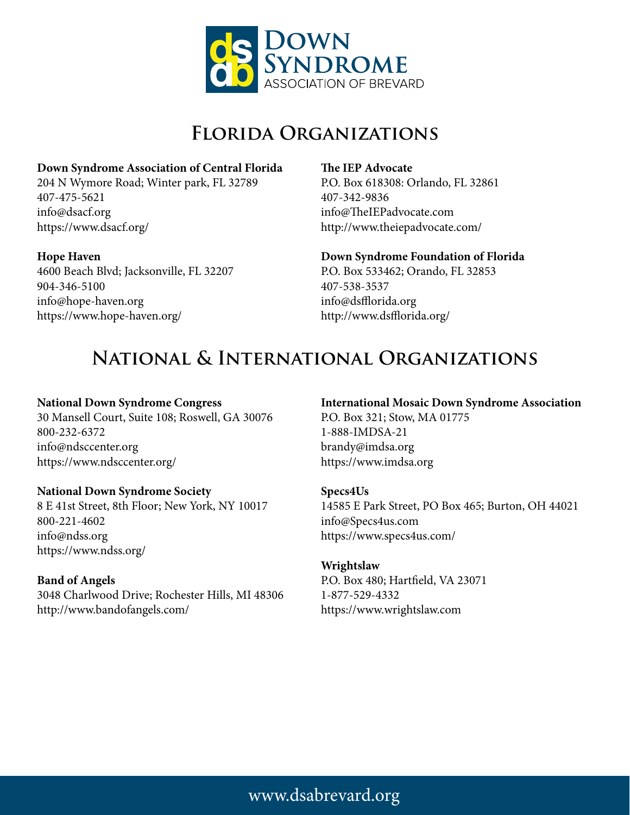

## **Florida Organizations**

#### **Down Syndrome Association of Central Florida**

204 N Wymore Road; Winter park, FL 32789 407-475-5621 info@dsacf.org https://www.dsacf.org/

#### **Hope Haven**

4600 Beach Blvd; Jacksonville, FL 32207 904-346-5100 info@hope-haven.org https://www.hope-haven.org/

#### **The IEP Advocate**

P.O. Box 618308: Orlando, FL 32861 407-342-9836 info@TheIEPadvocate.com http://www.theiepadvocate.com/

#### **Down Syndrome Foundation of Florida**

P.O. Box 533462; Orando, FL 32853 407-538-3537 info@dsfflorida.org http://www.dsfflorida.org/

## **National & International Organizations**

### **National Down Syndrome Congress**

30 Mansell Court, Suite 108; Roswell, GA 30076 800-232-6372 info@ndsccenter.org https://www.ndsccenter.org/

#### **National Down Syndrome Society**

8 E 41st Street, 8th Floor; New York, NY 10017 800-221-4602 info@ndss.org https://www.ndss.org/

#### **Band of Angels**

3048 Charlwood Drive; Rochester Hills, MI 48306 http://www.bandofangels.com/

## **International Mosaic Down Syndrome Association**

P.O. Box 321; Stow, MA 01775 1-888-IMDSA-21 brandy@imdsa.org https://www.imdsa.org

#### **Specs4Us**

14585 E Park Street, PO Box 465; Burton, OH 44021 info@Specs4us.com https://www.specs4us.com/

#### **Wrightslaw**

P.O. Box 480; Hartfield, VA 23071 1-877-529-4332 https://www.wrightslaw.com

## www.dsabrevard.org